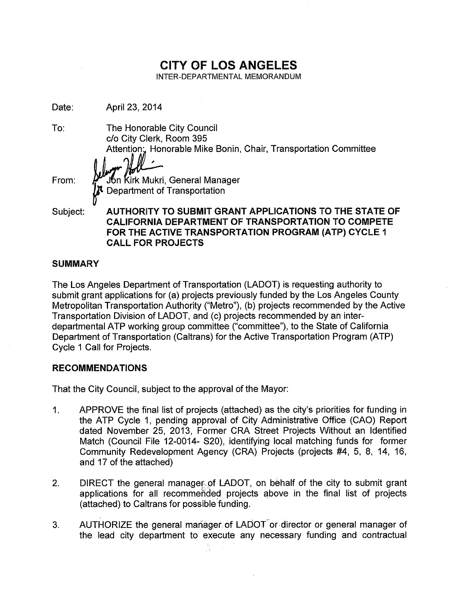# CITY OF LOS ANGELES

INTER-DEPARTMENTAL MEMORANDUM

Date: April 23, 2014

To:

The Honorable City Council c/o City Clerk, Room 395 Attention: Honorable Mike Bonin, Chair, Transportation Committee

From:

 $\begin{array}{l} r\cdot\!\!\!\!\!\!s\cdot\!\!\!\!\!s\cdot\!\!\!\!\!s\cdot\!\!\!\!\!s\cdot\!\!\!\!\!s\cdot\!\!\!\!\!s\cdot\!\!\!\!\!s\cdot\!\!\!\!\!s\cdot\!\!\!\!\!s\cdot\!\!\!\!\!s\cdot\!\!\!\!\!s\cdot\!\!\!\!\!s\cdot\!\!\!\!s\cdot\!\!\!\!s\cdot\!\!\!\!s\cdot\!\!\!\!s\cdot\!\!\!\!s\cdot\!\!\!\!s\cdot\!\!\!\!s\cdot\!\!\!\!s\cdot\!\!\!\!s\cdot\!\!\!\!s\cdot\!\!\!\!s\cdot\!\!\!\!s\cdot\!\!\!\!$ 

Subject:

AUTHORITY TO SUBMIT GRANT APPLICATIONS TO THE STATE OF CALIFORNIA DEPARTMENT OF TRANSPORTATION TO COMPETE FOR THE ACTIVE TRANSPORTATION PROGRAM (ATP) CYCLE 1 CALL FOR PROJECTS

# SUMMARY

The Los Angeles Department of Transportation (LADOT) is requesting authority to submit grant applications for (a) projects previously funded by the Los Angeles County Metropolitan Transportation Authority ("Metro"), (b) projects recommended by the Active Transportation Division of LADOT, and (c) projects recommended by an interdepartmental ATP working group committee ("committee"), to the State of Califomia Department of Transportation (Caltrans) for the Active Transportation Program (ATP) Cycle 1 Call for Projects.

# RECOMMENDATIONS

That the City Council, subject to the approval of the Mayor:

- 1. APPROVE the final list of projects (attached) as the city's priorities for funding in the ATP Cycle 1, pending approval of City Administrative Office (CAO) Report dated November 25, 2013, Former CRA Street Projects Without an Identified Match (Council File 12-0014- S20), identifying local matching funds for former Community Redevelopment Agency (CRA) Projects (projects #4, 5, 8, 14, 16, and 17 of the attached)
- 2. DIRECT the general manager.of LADOT, on behalf of the city to submit grant applications for all recommended projects above in the final list of projects (attached) to Caltrans for possible funding.
- 3. AUTHORIZE the general manager of LADOT or director or general manager of the lead city department to execute any necessary funding and contractual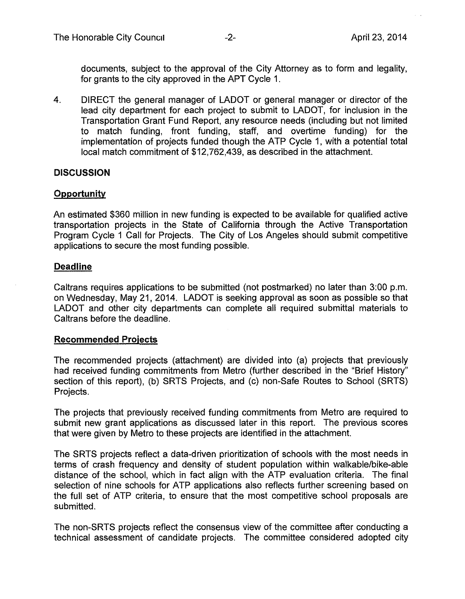documents, subject to the approval of the City Attorney as to form and legality, for grants to the city approved in the APT Cycle 1.

4. DIRECT the general manager of LADOT or general manager or director of the lead city department for each project to submit to LADOT, for inclusion in the Transportation Grant Fund Report, any resource needs (including but not limited to match funding, front funding, staff, and overtime funding) for the implementation of projects funded though the ATP Cycle 1, with a potential total local match commitment of \$12,762,439, as described in the attachment.

## **DISCUSSION**

#### **Opportunity**

An estimated \$360 million in new funding is expected to be available for qualified active transportation projects in the State of California through the Active Transportation Program Cycle 1 Call for Projects. The City of Los Angeles should submit competitive applications to secure the most funding possible.

#### **Deadline**

Caltrans requires applications to be submitted (not postmarked) no later than 3:00 p.m. on Wednesday, May 21,2014. LADOT is seeking approval as soon as possible so that LADOT and other city departments can complete all required submittal materials to Caltrans before the deadline.

#### **Recommended Proiects**

The recommended projects (attachment) are divided into (a) projects that previously had received funding commitments from Metro (further described in the "Brief History" section of this report), (b) SRTS Projects, and (c) non-Safe Routes to School (SRTS) Projects.

The projects that previously received funding commitments from Metro are required to submit new grant applications as discussed later in this report. The previous scores that were given by Metro to these projects are identified in the attachment.

The SRTS projects reflect a data-driven prioritization of schools with the most needs in terms of crash frequency and density of student population within walkable/bike-able distance of the school, which in fact align with the ATP evaluation criteria. The final selection of nine schools for ATP applications also reflects further screening based on the full set of ATP criteria, to ensure that the most competitive school proposals are submitted.

The non-SRTS projects reflect the consensus view of the committee after conducting a technical assessment of candidate projects. The committee considered adopted city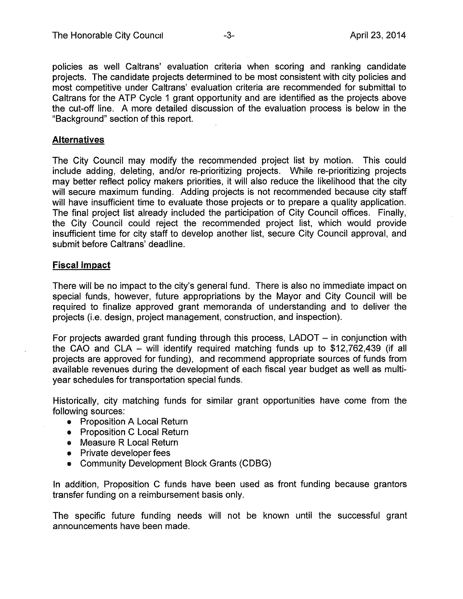policies as well Caltrans' evaluation criteria when scoring and ranking candidate projects. The candidate projects determined to be most consistent with city policies and most competitive under Caltrans' evaluation criteria are recommended for submittal to Caltrans for the ATP Cycle 1 grant opportunity and are identified as the projects above the cut-off line. A more detailed discussion of the evaluation process is below in the "Background" section of this report.

## **Alternatives**

The City Council may modify the recommended project list by motion. This could include adding, deleting, and/or re-prioritizing projects. While re-prioritizing projects may better reflect policy makers priorities, it will also reduce the likelihood that the city will secure maximum funding. Adding projects is not recommended because city staff will have insufficient time to evaluate those projects or to prepare a quality application. The final project list already included the participation of City Council offices. Finally, the City Council could reject the recommended project list, which would provide insufficient time for city staff to develop another list, secure City Council approval, and submit before Caltrans' deadline.

#### Fiscal Impact

There will be no impact to the city's general fund. There is also no immediate impact on special funds, however, future appropriations by the Mayor and City Council will be required to finalize approved grant memoranda of understanding and to deliver the projects (Le. design, project management, construction, and inspection).

For projects awarded grant funding through this process,  $LADOT - in$  conjunction with the CAO and CLA - will identify required matching funds up to \$12,762,439 (if all projects are approved for funding), and recommend appropriate sources of funds from available revenues during the development of each fiscal year budget as well as multiyear schedules for transportation special funds.

Historically, city matching funds for similar grant opportunities have come from the following sources:

- Proposition A Local Return
- Proposition C Local Return
- Measure R Local Return
- Private developer fees
- Community Development Block Grants (CDBG)

In addition, Proposition C funds have been used as front funding because grantors transfer funding on a reimbursement basis only.

The specific future funding needs will not be known until the successful grant announcements have been made.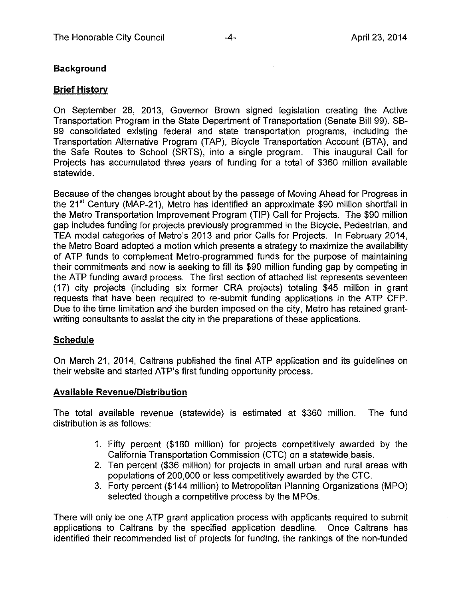# **Background**

## Brief History

On September 26, 2013, Governor Brown signed legislation creating the Active Transportation Program in the State Department of Transportation (Senate Bill 99). SB-99 consolidated existing federal and state transportation programs, including the Transportation Alternative Program (TAP), Bicycle Transportation Account (BTA), and the Safe Routes to School (SRTS), into a single program. This inaugural Call for Projects has accumulated three years of funding for a total of \$360 million available statewide.

Because of the changes brought about by the passage of Moving Ahead for Progress in the 21st Century (MAP-21), Metro has identified an approximate \$90 million shortfall in the Metro Transportation Improvement Program (TIP) Call for Projects. The \$90 million gap includes funding for projects previously programmed in the Bicycle, Pedestrian, and TEA modal categories of Metro's 2013 and prior Calls for Projects. In February 2014, the Metro Board adopted a motion which presents a strategy to maximize the availability of ATP funds to complement Metro-programmed funds for the purpose of maintaining their commitments and now is seeking to fill its \$90 million funding gap by competing in the ATP funding award process. The first section of attached list represents seventeen (17) city projects (including six former CRA projects) totaling \$45 million in grant requests that have been required to re-submit funding applications in the ATP CFP. Due to the time limitation and the burden imposed on the city, Metro has retained grantwriting consultants to assist the city in the preparations of these applications.

# **Schedule**

On March 21, 2014, Caltrans published the final ATP application and its guidelines on their website and started ATP's first funding opportunity process.

# **Available** Revenue/Distribution

The total available revenue (statewide) is estimated at \$360 million. The fund distribution is as follows:

- 1. Fifty percent (\$180 million) for projects competitively awarded by the California Transportation Commission (CTC) on a statewide.basis.
- 2. Ten percent (\$36 million) for projects in small urban and rural areas with populations of 200,000 or less competitively awarded by the CTC.
- 3. Forty percent (\$144 million) to Metropolitan Planning Organizations (MPO) selected though a competitive process by the MPOs.

There will only be one ATP grant application process with applicants required to submit applications to Caltrans by the specified application deadline. Once Caltrans has identified their recommended list of projects for funding, the rankings of the non-funded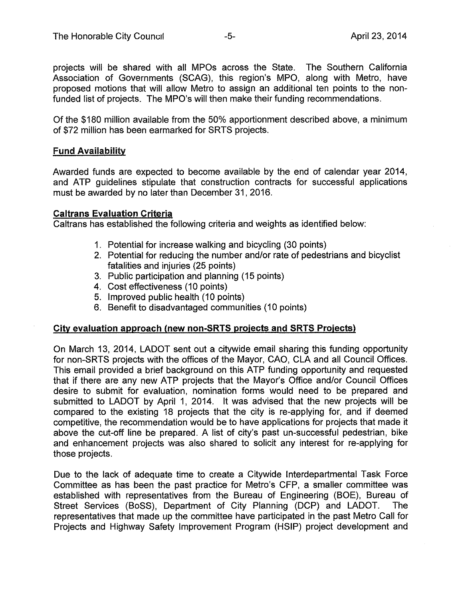projects will be shared with all MPOs across the State. The Southern California Association of Governments (SCAG), this region's MPO, along with Metro, have proposed motions that will allow Metro to assign an additional ten points to the nonfunded list of projects. The MPO's will then make their funding recommendations.

Of the \$180 million available from the 50% apportionment described above, a minimum of \$72 million has been earmarked for SRTS projects.

## Fund Availability

Awarded funds are expected to become available by the end of calendar year 2014, and ATP guidelines stipulate that construction contracts for successful applications must be awarded by no later than December 31,2016.

## Caltrans Evaluation Criteria

Caltrans has established the following criteria and weights as identified below:

- 1. Potential for increase walking and bicycling (30 points)
- 2. Potential for reducing the number and/or rate of pedestrians and bicyclist fatalities and injuries (25 points)
- 3. Public participation and planning (15 points)
- 4. Cost effectiveness (10 points)
- 5. Improved public health (10 points)
- 6. Benefit to disadvantaged communities (10 points)

# City evaluation approach (new non-SRTS projects and SRTS Projects)

On March 13, 2014, LADOT sent out a citywide email sharing this funding opportunity for non-SRTS projects with the offices of the Mayor, CAO, CLA and all Council Offices. This email provided a brief background on this ATP funding opportunity and requested that if there are any new ATP projects that the Mayor's Office and/or Council Offices desire to submit for evaluation, nomination forms would need to be prepared and submitted to LADOT by April 1, 2014. It was advised that the new projects will be compared to the existing 18 projects that the city is re-applying for, and if deemed competitive, the recommendation would be to have applications for projects that made it above the cut-off line be prepared. A list of city's past un-successful pedestrian, bike and enhancement projects was also shared to solicit any interest for re-applying for those projects.

Due to the lack of adequate time to create a Citywide Interdepartmental Task Force Committee as has been the past practice for Metro's CFP, a smaller committee was established with representatives from the Bureau of Engineering (BOE), Bureau of Street Services (BoSS), Department of City Planning (DCP) and LADOT. The representatives that made up the committee have participated in the past Metro Call for Projects and Highway Safety Improvement Program (HSIP) project development and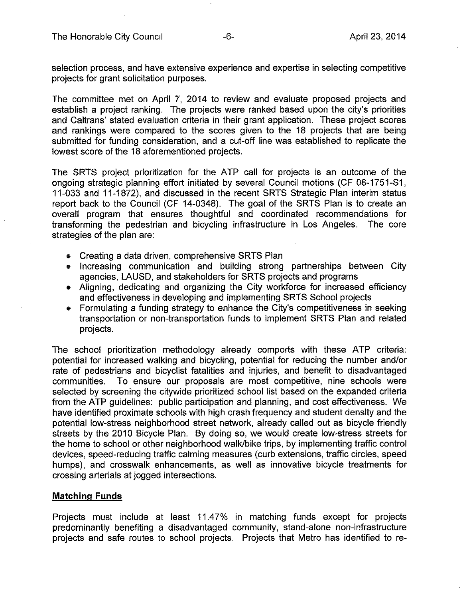The Honorable City Council **-6-** April 23, 2014

selection process, and have extensive experience and expertise in selecting competitive projects for grant solicitation purposes.

The committee met on April 7, 2014 to review and evaluate proposed projects and establish a project ranking. The projects were ranked based upon the city's priorities and Caltrans' stated evaluation criteria in their grant application. These project scores and rankings were compared to the scores given to the 18 projects that are being submitted for funding consideration, and a cut-off line was established to replicate the lowest score of the 18 aforementioned projects.

The SRTS project prioritization for the ATP call for projects is an outcome of the ongoing strategic planning effort initiated by several Council motions (CF 08-1751-S1, 11-033 and 11-1872), and discussed in the recent SRTS Strategic Plan interim status report back to the Council (CF 14-0348). The goal of the SRTS Plan is to create an overall program that ensures thoughtful and coordinated recommendations for transforming the pedestrian and bicycling infrastructure in Los Angeles. The core strategies of the plan are:

- Creating a data driven, comprehensive SRTS Plan
- Increasing communication and building strong partnerships between City agencies, LAUSD, and stakeholders for SRTS projects and programs
- Aligning, dedicating and organizing the City workforce for increased efficiency and effectiveness in developing and implementing SRTS School projects
- Formulating a funding strategy to enhance the City's competitiveness in seeking transportation or non-transportation funds to implement SRTS Plan and related projects.

The school prioritization methodology already comports with these ATP criteria: potential for increased walking and bicycling, potential for reducing the number and/or rate of pedestrians and bicyclist fatalities and injuries, and benefit to disadvantaged communities. To ensure our proposals are most competitive, nine schools were selected by screening the citywide prioritized school list based on the expanded criteria from the ATP guidelines: public participation and planning, and cost effectiveness. We have identified proximate schools with high crash frequency and student density and the potential low-stress neighborhood street network, already called out as bicycle friendly streets by the 2010 Bicycle Plan. By doing so, we would create low-stress streets for the home to school or other neighborhood walk/bike trips, by implementing traffic control devices, speed-reducing traffic calming measures (curb extensions, traffic circles, speed humps), and crosswalk enhancements, as well as innovative bicycle treatments for crossing arterials at jogged intersections.

## **Matching Funds**

Projects must include at least 11.47% in matching funds except for projects predominantly benefiting a disadvantaged community, stand-alone non-infrastructure projects and safe routes to school projects. Projects that Metro has identified to re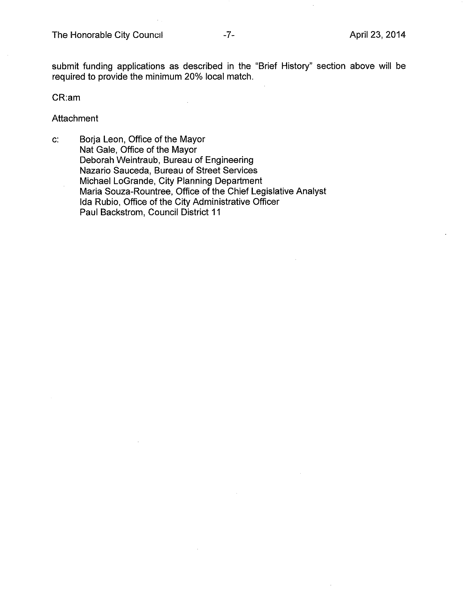submit funding applications as described in the "Brief History" section above will be required to provide the minimum 20% local match.

CR:am

**Attachment** 

c: Borja Leon, Office of the Mayor Nat Gale, Office of the Mayor Deborah Weintraub, Bureau of Engineering Nazario Sauceda, Bureau of Street Services Michael LoGrande, City Planning Department Maria Souza-Rountree, Office of the Chief Legislative Analyst Ida Rubio, Office of the City Administrative Officer Paul Backstrom, Council District 11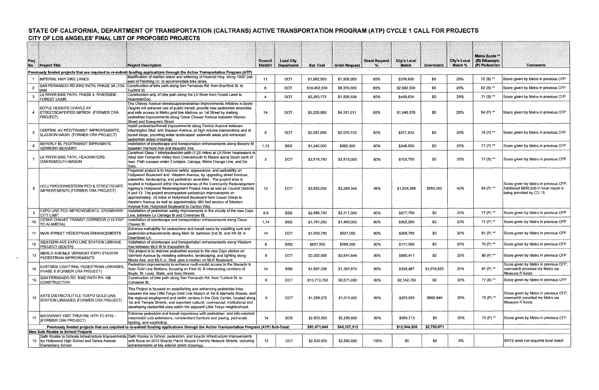# STATE OF CALIFORNIA, DEPARTMENT OF TRANSPORTATION (CALTRANS) ACTIVE TRANSPORTATION PROGRAM (ATP) CYCLE 1 CALL FOR PROJECTS CITY OF LOS ANGELES' FINAL LIST OF PROPOSED PROJECTS

| Proj           |                                                                                                                                           |                                                                                                                                                                                                                | <b>Council</b>  | <b>Lead City</b>  |                  |                      | <b>Grant Request</b> | <b>City's Local</b> |             | <b>City's Local</b> | <b>Metro Score **</b><br>(B) Bikeways; |                                                                                                             |
|----------------|-------------------------------------------------------------------------------------------------------------------------------------------|----------------------------------------------------------------------------------------------------------------------------------------------------------------------------------------------------------------|-----------------|-------------------|------------------|----------------------|----------------------|---------------------|-------------|---------------------|----------------------------------------|-------------------------------------------------------------------------------------------------------------|
|                | No. Project Title                                                                                                                         | <b>Project Description</b>                                                                                                                                                                                     | <b>District</b> | <b>Department</b> | <b>Est. Cost</b> | <b>Grant Request</b> |                      | <b>Match</b>        | Overmatch   | Match %             | (P) Pedestrian                         | <b>Comments</b>                                                                                             |
|                |                                                                                                                                           | Previously funded projects that are required to re-submit funding applications through the Active Transportation Program (ATP)                                                                                 |                 |                   |                  |                      |                      |                     |             |                     |                                        |                                                                                                             |
|                | IMPERIAL HWY BIKE LANES                                                                                                                   | Modification of median island and widening of Imperial Hwy. along 1000' just<br>east of Pershing Dr. to accommodate bike lanes.                                                                                | 11              | DOT               | \$1,882,500      | \$1,506,000          | 80%                  | \$376,500           | -50         | 20%                 | 72 (B) **                              | Score given by Metro in previous CFP                                                                        |
| $\overline{2}$ | 049)                                                                                                                                      | SAN FERNANDO RD BIKE PATH, PHASE 3A (10S- Construction of bike path along San Fernando Rd. from Branford St. to<br>Tuxford St.                                                                                 | 6               | <b>DOT</b>        | \$10,462,500     | \$8,370,000          | 80%                  | \$2,092,500         | \$0         | 20%                 | 82 (B) **                              | Score given by Metro in previous CFP                                                                        |
| -3             | LA RIVER BIKE PATH, PHASE 4, RIVERSIDE -<br><b>FOREST LAWN</b>                                                                            | Construction only of bike path along the LA River from Forest Lawn to                                                                                                                                          |                 | <b>DOT</b>        | \$2,283,172      | \$1,826,538          | 80%                  | \$456,634           | -\$0        | 20%                 | 71 (B) **                              | Score given by Metro in previous CFP                                                                        |
|                |                                                                                                                                           | Riverside/Zoo<br>The Chavez Avenue streetscape/pedestrian improvements initiative in Boyle                                                                                                                     |                 |                   |                  |                      |                      |                     |             |                     |                                        |                                                                                                             |
|                | BOYLE HEIGHTS CHAVEZ AV                                                                                                                   | Heights will enhance use of public transit, provide new pedestrian amenities                                                                                                                                   |                 |                   |                  |                      |                      |                     |             |                     |                                        |                                                                                                             |
|                | STREETSCAPE/PED IMPROV. (FORMER CRA<br>PROJECT)                                                                                           | and safe access to Metro gold line stations on 1st Street by making<br>pedestrian improvements along Cesar Chavez Avenue between Warren<br>Street and Evergreen Street.                                        | 14              | DOT               | \$5,226,889      | \$4,181,511          | 80%                  | \$1,045,378         | \$0         | 20%                 | 94 (P) **                              | Score given by Metro in previous CFP                                                                        |
|                |                                                                                                                                           | Install pedestrian/transit improvements along Central Avenue between                                                                                                                                           |                 |                   |                  |                      |                      |                     |             |                     |                                        |                                                                                                             |
| 5              | CENTRAL AV PED/TRANSIT IMPROVEMENTS,                                                                                                      | Washington Blvd. and Slauson Avenue, at high volume intersections and at                                                                                                                                       | -9              | <b>DOT</b>        | \$2,587,666      | \$2,070,133          | 80%                  | \$517,533           | -\$0        | 20%                 | 78 (P) **                              | Score given by Metro in previous CFP                                                                        |
|                | SLAUSON-WASH. (FORMER CRA PROJECT)                                                                                                        | transit stops, providing wider landscaped sidewalk areas and enhanced<br>pedestrian street crossings.                                                                                                          |                 |                   |                  |                      |                      |                     |             |                     |                                        |                                                                                                             |
|                | <b>BEVERLY BL PED/TRANSIT IMPRVMNTS,</b>                                                                                                  | Installation of streetscape and transportation enhancements along Beverly BI                                                                                                                                   | 1 1 3           | <b>BSS</b>        | \$1,240,000      | \$992,000            | 80%                  | \$248,000           | \$0         | 20%                 | 77 (P) **                              | Score given by Metro in previous CFP                                                                        |
|                | VERMONT-BEAUDRY                                                                                                                           | between Vermont Ave and Beaudry Ave.                                                                                                                                                                           |                 |                   |                  |                      |                      |                     |             |                     |                                        |                                                                                                             |
|                | LA RIVER BIKE PATH, HEADWATERS,                                                                                                           | Construct Class 1 bike/pedestrian path (1.25 miles) at LA River headwaters in<br>West San Fernando Valley from Owensmouth to Mason along South bank of                                                         |                 |                   |                  |                      |                      |                     |             |                     |                                        |                                                                                                             |
|                | OWENSMOUTH-MASON                                                                                                                          | river. Path crosses under 3 bridges: Canoga, Metro Orange Line, and De                                                                                                                                         | z               | <b>DOT</b>        | \$3,518,750      | \$2,815,000          | 80%                  | \$703,750           | \$0         | 20%                 | 77 (B) **                              | Score given by Metro in previous CFP                                                                        |
|                | HOLLYWOOD/WESTERN PED & STREETSCAPE<br>IMPROVEMENTS (FORMER CRA PROJECT)                                                                  | Soto.<br>Proposed project is to improve safety, appearance, and walkability on                                                                                                                                 |                 |                   |                  |                      |                      |                     |             |                     |                                        |                                                                                                             |
|                |                                                                                                                                           | Hollywood Boulevard and Western Avenue, by upgrading street furniture,                                                                                                                                         |                 |                   |                  |                      |                      |                     |             |                     |                                        |                                                                                                             |
|                |                                                                                                                                           | sidewalks, landscaping, and pedestrian amenities. The project area is                                                                                                                                          | 13              | <b>DOT</b>        | \$3,922,932      | \$2,288,346          | 58%                  | \$1,634,586         | \$850,000   | 42%                 | 84 (P) **                              | Score given by Metro in previous CFP;<br>Additional \$850,000 in local macth is<br>being provided by CD 13. |
| 8              |                                                                                                                                           | located in Hollywood within the boundaries of the Community Redevelopment<br>Agency's Hollywood Redevelopment Project Area as well as Council Districts                                                        |                 |                   |                  |                      |                      |                     |             |                     |                                        |                                                                                                             |
|                |                                                                                                                                           | 4 and 13. The project encompasses pedestrian improvements on                                                                                                                                                   |                 |                   |                  |                      |                      |                     |             |                     |                                        |                                                                                                             |
|                |                                                                                                                                           | approximately .75 miles of Hollywood Boulevard from Gower Street to                                                                                                                                            |                 |                   |                  |                      |                      |                     |             |                     |                                        |                                                                                                             |
|                |                                                                                                                                           | Western Avenue as well as approximately 360 foot section of Western<br>Avenue from Hollywood Boulevard to Carlton Way.                                                                                         |                 |                   |                  |                      |                      |                     |             |                     |                                        |                                                                                                             |
|                | <b>EXPO LINE PED IMPROVEMENTS, CRENSHAW-</b>                                                                                              | Installation of pedestrian safety improvements in the vicinity of the new Expo                                                                                                                                 | 8,9             | <b>BSS</b>        | \$2,888,750      | \$2,311,000          | 80%                  | \$577,750           | \$0         | 20%                 | 77 (P) **                              | Score given by Metro in previous CFP                                                                        |
|                | <b>CITY LIMIT</b><br>CESAR CHAVEZ TRANSIT CORRIDOR (110 FWY                                                                               | Line, between La Cienega BI and Crenshaw BI.<br>Installation of streetscape and transportation enhancements along Cesar                                                                                        |                 |                   |                  |                      |                      |                     |             |                     |                                        |                                                                                                             |
| 10             | TO ALAMEDA)                                                                                                                               | Chavez Bl.                                                                                                                                                                                                     | 1,14            | <b>BSS</b>        | \$1,761,250      | \$1,409,000          | 80%                  | \$352,250           | \$0         | 20%                 | 71 (P) **                              | Score given by Metro in previous CFP                                                                        |
|                |                                                                                                                                           | Enhance walkability for pedestrians and transit users by installing curb and                                                                                                                                   |                 |                   |                  |                      |                      |                     |             |                     |                                        |                                                                                                             |
|                | 11 MAIN STREET PEDESTRIAN ENHANCEMENTS                                                                                                    | pedestrian enhancements along Main St. between 2nd St. and 4th St. in<br>Downtown LA.                                                                                                                          | 14              | DOT               | \$1,033,750      | \$827,000            | 80%                  | \$206,750           | \$0         | 20%                 | 61 (P) **                              | Score given by Metro in previous CFP                                                                        |
| 12             | <b>WESTERN AVE EXPO LINE STATION LINKAGE</b>                                                                                              | Installation of streetscape and transportation enhancements along Western                                                                                                                                      | 8               | <b>BSS</b>        | \$857,500        | \$686,000            | 80%                  | \$171,500           | \$0         | 20%                 | 79 (P) **                              | Score given by Metro in previous CFP                                                                        |
|                | PROJECT (SOUTH)                                                                                                                           | Ave between MLK BI to Exposition BI.                                                                                                                                                                           |                 |                   |                  |                      |                      |                     |             |                     |                                        |                                                                                                             |
| 13             | MENLO AVE/MLK VERMONT EXPO STATION                                                                                                        | The project is to improve pedestrian access to the new Expo station on<br>Vermont Avenue by installing sidewalks, landscaping, and lighting along                                                              |                 | DOT               | \$3,302,055      | \$2,641,644          | 80%                  | \$660,411           | \$0         | 20%                 | 89 (P) **                              | Score given by Metro in previous CFP                                                                        |
|                | PEDESTRIAN IMPROVEMENTS                                                                                                                   | Menio Ave. and MLK Jr. Bivd. plus a median on MLK Boulevard.                                                                                                                                                   |                 |                   |                  |                      |                      |                     |             |                     |                                        |                                                                                                             |
|                | EASTSIDE LIGHT RAIL PEDESTRIAN LINKAGES                                                                                                   | Pedestrian improvements to enhance multi-modal access to the Mariachi &<br>Soto Gold Line Stations, focusing on First St. & intersecting corridors of                                                          | 14              | BSS               | \$1,697,338      | \$1,357,870          | 80%                  | \$339,467           | \$1,074,925 | 20%                 | 81 (P) **                              | Score given by Metro in previous CFP;<br>overmatch provided my Metro via                                    |
|                | PHASE II (FORMER CRA PROJECT)                                                                                                             | Boyle, St. Louis, State, and Soto Streets.                                                                                                                                                                     |                 |                   |                  |                      |                      |                     |             |                     |                                        | Measure R funds                                                                                             |
| 15             | SAN FERNANDO RD. BIKE PATH PH. IIIB<br><b>CONSTRUCTION</b>                                                                                | Construction of bike path along San Fernando Rd. from Tuxford St. to<br>Cohasset St.                                                                                                                           |                 | DOT               | \$10,713,750     | \$8,571,000          | 80%                  | \$2,142,750         | \$0         | 20%                 | 77 (B) **                              | Score given by Metro in previous CFP                                                                        |
|                | ARTS DISTRICT/LITTLE TOKYO GOLD LINE                                                                                                      | This Project is focused on establishing and enhancing pedestrian links                                                                                                                                         |                 |                   |                  |                      |                      |                     |             | 20%                 | 75 (P) $*$                             |                                                                                                             |
|                |                                                                                                                                           | between the new Little Tokyo Gold Line Station at 1st & Alameda Streets, and                                                                                                                                   |                 |                   |                  |                      |                      |                     |             |                     |                                        | Score given by Metro in previous CFP;<br>overmatch provided my Metro via                                    |
| 16             | STATION LINKAGES (FORMER CRA PROJECT)                                                                                                     | the regional employment and visitor centers in the Civic Center, located along<br>1st and Temple Streets, and important cultural, commercial, institutional and                                                |                 | <b>DOT</b>        | \$1,269,275      | \$1,015,420          | 80%                  | \$253,855           | \$868,946   |                     |                                        | Measure R funds                                                                                             |
|                |                                                                                                                                           | developing residential uses within the adjacent Little Tokyo neighborhood.                                                                                                                                     |                 |                   |                  |                      |                      |                     |             |                     |                                        |                                                                                                             |
|                | BROADWAY HIST THEATRE (4TH TO 6TH) -                                                                                                      | Enhance pedestrian and transit experience with pedestrian- and info-oriented                                                                                                                                   |                 |                   |                  |                      |                      |                     |             |                     |                                        |                                                                                                             |
| 17             | (FORMER CRA PROJECT)                                                                                                                      | intermodal curb extensions, nonstandard furniture and paving, ped-scale<br>lighting, and wayfinding.                                                                                                           | 14              | <b>BOE</b>        | \$2,823,563      | \$2,258,850          | 80%                  | \$564,713           | \$0         | 20%                 | 73 (P) **                              | Score given by Metro in previous CFP                                                                        |
|                | Previously funded projects that are required to re-submit funding applications through the Active Transportation Program (ATP) Sub-Total: |                                                                                                                                                                                                                | \$57,471.640    | \$45.127,312      |                  | \$12,344.328         | \$2,793,871          |                     |             |                     |                                        |                                                                                                             |
|                | <b>New Safe Routes to School Projects</b>                                                                                                 |                                                                                                                                                                                                                |                 |                   |                  |                      |                      |                     |             |                     |                                        |                                                                                                             |
|                | 18 for Hollywood High School and Selma Avenue                                                                                             | Safe Routes to Schools Infrastructure Improvements Safe Routes to School, pedestrian, and bicycle infrastructure improvements<br>with focus on 2010 Bicycle Plan's Bicycle Friendly Network Streets, including | 13              | DOT               | \$2,500,000      | \$2,500,000          | 100%                 | \$0                 | \$0         | 0%                  |                                        | SRTS does not required local match                                                                          |
|                | <b>Elementary School</b>                                                                                                                  | enhancements of key arterial street crossings.                                                                                                                                                                 |                 |                   |                  |                      |                      |                     |             |                     |                                        |                                                                                                             |
|                |                                                                                                                                           |                                                                                                                                                                                                                |                 |                   |                  |                      |                      |                     |             |                     |                                        |                                                                                                             |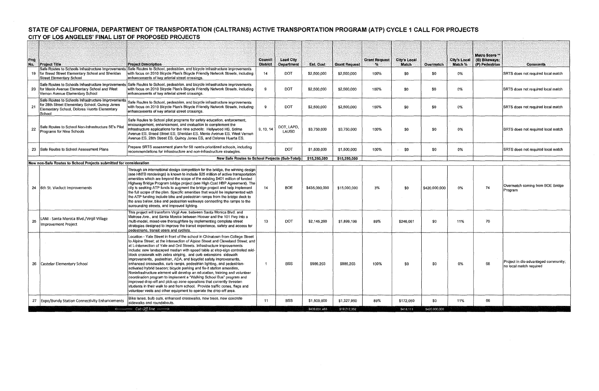# STATE OF CALIFORNIA, DEPARTMENT OF TRANSPORTATION (CALTRANS) ACTIVE TRANSPORTATION PROGRAM (ATP) CYCLE 1 CALL FOR PROJECTS CITY OF LOS ANGELES' FINAL LIST OF PROPOSED PROJECTS

| Proj<br>No. | <b>Project Title</b>                                                                                                                | <b>Project Description</b>                                                                                                                                                                                                                                                                                                                                                                                                                                                                                                                                                                                                                                                                                                                                                                                                                                                                                                                                                                                   | <b>Council</b><br><b>District</b> | <b>Lead City</b><br><b>Department</b> | Est. Cost     | <b>Grant Request</b> | <b>Grant Request</b><br>$\sim$ | <b>City's Local</b><br><b>Match</b> | Overmatch     | <b>City's Local</b><br>Match % | Metro Score <sup>**</sup><br>(B) Bikeways;<br>(P) Pedestrian | <b>Comments</b>                                                 |
|-------------|-------------------------------------------------------------------------------------------------------------------------------------|--------------------------------------------------------------------------------------------------------------------------------------------------------------------------------------------------------------------------------------------------------------------------------------------------------------------------------------------------------------------------------------------------------------------------------------------------------------------------------------------------------------------------------------------------------------------------------------------------------------------------------------------------------------------------------------------------------------------------------------------------------------------------------------------------------------------------------------------------------------------------------------------------------------------------------------------------------------------------------------------------------------|-----------------------------------|---------------------------------------|---------------|----------------------|--------------------------------|-------------------------------------|---------------|--------------------------------|--------------------------------------------------------------|-----------------------------------------------------------------|
|             | 19 for Breed Street Elementary School and Sheridan<br><b>Street Elementary School</b>                                               | Safe Routes to Schools Infrastructure Improvements Safe Routes to School, pedestrian, and bicycle infrastructure improvements<br>with focus on 2010 Bicycle Plan's Bicycle Friendly Network Streets, including<br>enhancements of key arterial street crossings.                                                                                                                                                                                                                                                                                                                                                                                                                                                                                                                                                                                                                                                                                                                                             | 14                                | DOT.                                  | \$2,500,000   | \$2,500,000          | 100%                           | \$0                                 | \$0           | 0%                             |                                                              | SRTS does not required local match                              |
| 20          | Safe Routes to Schools Infrastructure Improvement<br>for Menio Avenue Elementary School and West<br>Vernon Avenue Elementary School | Safe Routes to School, pedestrian, and bicycle infrastructure improvements<br>with focus on 2010 Bicycle Plan's Bicycle Friendly Network Streets, including<br>enhancements of kev arterial street crossings.                                                                                                                                                                                                                                                                                                                                                                                                                                                                                                                                                                                                                                                                                                                                                                                                |                                   | DOT.                                  | \$2,500,000   | \$2,500,000          | 100%                           | \$0                                 | \$0           | 0%                             |                                                              | SRTS does not required local match                              |
| 21          | for 28th Street Elementary School, Quincy Jones<br>Elementary School, Dolores Huerta Elementary<br>School                           | Safe Routes to Schools Infrastructure Improvements Safe Routes to School, pedestrian, and bicycle infrastructure improvements<br>with focus on 2010 Bicycle Plan's Bicycle Friendly Network Streets, including<br>enhancements of key arterial street crossings.                                                                                                                                                                                                                                                                                                                                                                                                                                                                                                                                                                                                                                                                                                                                             |                                   | <b>DOT</b>                            | \$2,500,000   | \$2,500,000          | 100%                           | \$0                                 | \$0           | 0%                             |                                                              | SRTS does not required local match                              |
| 22          | Safe Routes to School Non-Infrastructure 5E's Pilot<br>Programs for Nine Schools                                                    | Safe Routes to School pilot programs for safety education, enforcement,<br>encouragement, enhancement, and evaluation to complement the<br>infrastructure applications for the nine schools: Hollywood HS, Selma<br>Avenue ES, Breed Street ES, Sheridan ES, Menlo Avenue ES, West Vernon<br>Avenue ES, 28th Street ES, Quincy Jones ES, and Dolores Huerta ES,                                                                                                                                                                                                                                                                                                                                                                                                                                                                                                                                                                                                                                              | 9, 13, 14                         | DOT, LAPD,<br>LAUSD                   | \$3,750,000   | \$3,750,000          | 100%                           | - \$0                               | \$0           | 0%                             |                                                              | SRTS does not required local match                              |
| 23          | Safe Routes to School Assessment Plans                                                                                              | Prepare SRTS assessment plans for 50 needs-prioritized schools, including<br>recommendations for infrastructure and non-infrastructure strategies.                                                                                                                                                                                                                                                                                                                                                                                                                                                                                                                                                                                                                                                                                                                                                                                                                                                           |                                   | <b>DOT</b>                            | \$1,500,000   | \$1,500,000          | 100%                           | - \$0                               | \$0           | 0%                             |                                                              | SRTS does not required local match                              |
|             | New non-Safe Routes to School Projects submitted for consideration                                                                  | New Safe Routes to School Projects (Sub-Total):                                                                                                                                                                                                                                                                                                                                                                                                                                                                                                                                                                                                                                                                                                                                                                                                                                                                                                                                                              |                                   |                                       | \$15,250,000  | \$15,250,000         |                                |                                     |               |                                |                                                              |                                                                 |
|             | 24 6th St. Viaduct Improvements                                                                                                     | Through an international design competition for the bridge, the winning design<br>(see HNTB renderings) is known to include \$25 million of active transportation<br>amenities which are beyond the scope of the existing \$401 million of funded<br>Highway Bridge Program bridge project (see High Cost HBP Agreement). The<br>city is seeking ATP funds to augment the bridge project and help implement<br>the full scope of the plan. Specific amenities that would be implemented with<br>the ATP funding include bike and pedestrian ramps from the bridge deck to<br>the area below, bike and pedestrian walkways connecting the ramps to the<br>surrounding streets, and improved lighting.                                                                                                                                                                                                                                                                                                         | 14                                | <b>BOE</b>                            | \$435,000,000 | \$15,000,000         | 3%                             | \$0                                 | \$420,000,000 | 0%                             | 74                                                           | Overmatch coming from BOE Bridge<br>Program                     |
| 25          | LANI - Santa Monica Blvd./Virgil Village<br>Improvement Project                                                                     | This project will transform Virgil Ave. between Santa Monica Blyd. and<br>Metrose Ave., and Santa Monica between Hoover and the 101 Fwy into a<br>multi-modal, mixed-use thoroughfare by implementing complete street<br>strategies designed to improve the transit experience, safety and access for<br>pedestrians, transit users and cyclists.                                                                                                                                                                                                                                                                                                                                                                                                                                                                                                                                                                                                                                                            | 13                                | DOT                                   | \$2 145,260   | \$1,899,199          | 89%                            | \$246,061                           | \$0           | 11%                            | 70                                                           |                                                                 |
|             | 26 Castelar Elementary School                                                                                                       | Location - Yale Street in front of the school in Chinatown from College Street<br>to Alpine Street; at the intersection of Alpine Street and Cleveland Street; and<br>at L-intersection of Yale and Ord Streets. Infrastructure improvements<br>include; new landscaped median with speed table at stop-sign controlled mid-<br>block crosswalk with zebra striping, and curb extensions sidewalk<br>improvements, pedestrian, ADA, and bicyclist safety improvements,<br>enhanced crosswalks, curb ramps, pedestrian lighting, and pedestrian-<br>activated hybrid beacon; bicycle parking and fix-it station amenities<br>Noninfrastructure element will develop an education, training and volunteer<br>coordination program to implement a "Walking School Bus" program and<br>improved drop-off and pick-up zone operations that currently threaten<br>students in their walk to and from school. Provide traffic cones, flags and<br>volunteer vests and other equipment to operate the drop-off area. |                                   | <b>BSS</b>                            | \$986,203     | \$985,203            | 100%                           | \$0                                 | \$0           | 0%                             | 68                                                           | Project in dis-advantaged community;<br>no local match required |
|             | 27   Expo/Bundy Station Connectivity Enhancements                                                                                   | Bike lanes, bulb outs, enhanced crosswalks, new trees, new concrete<br>sidewalks and roundabouts.                                                                                                                                                                                                                                                                                                                                                                                                                                                                                                                                                                                                                                                                                                                                                                                                                                                                                                            | 11                                | <b>BSS</b>                            | \$1,500,000   | \$1,327,950          | 89%                            | \$172,050                           | \$0           | 11%                            | 66                                                           |                                                                 |
|             |                                                                                                                                     | <------------ Cut-Off line ------->                                                                                                                                                                                                                                                                                                                                                                                                                                                                                                                                                                                                                                                                                                                                                                                                                                                                                                                                                                          |                                   |                                       | \$439,631,463 | \$19,212,352         |                                | \$418,111                           | \$420,000,000 |                                |                                                              |                                                                 |